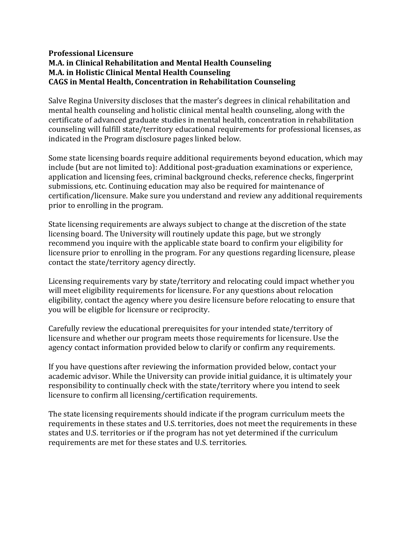## **Professional Licensure M.A. in Clinical Rehabilitation and Mental Health Counseling M.A. in Holistic Clinical Mental Health Counseling CAGS in Mental Health, Concentration in Rehabilitation Counseling**

Salve Regina University discloses that the master's degrees in clinical rehabilitation and mental health counseling and holistic clinical mental health counseling, along with the certificate of advanced graduate studies in mental health, concentration in rehabilitation counseling will fulfill state/territory educational requirements for professional licenses, as indicated in the Program disclosure pages linked below.

Some state licensing boards require additional requirements beyond education, which may include (but are not limited to): Additional post-graduation examinations or experience, application and licensing fees, criminal background checks, reference checks, fingerprint submissions, etc. Continuing education may also be required for maintenance of certification/licensure. Make sure you understand and review any additional requirements prior to enrolling in the program.

State licensing requirements are always subject to change at the discretion of the state licensing board. The University will routinely update this page, but we strongly recommend you inquire with the applicable state board to confirm your eligibility for licensure prior to enrolling in the program. For any questions regarding licensure, please contact the state/territory agency directly.

Licensing requirements vary by state/territory and relocating could impact whether you will meet eligibility requirements for licensure. For any questions about relocation eligibility, contact the agency where you desire licensure before relocating to ensure that you will be eligible for licensure or reciprocity.

Carefully review the educational prerequisites for your intended state/territory of licensure and whether our program meets those requirements for licensure. Use the agency contact information provided below to clarify or confirm any requirements.

If you have questions after reviewing the information provided below, contact your academic advisor. While the University can provide initial guidance, it is ultimately your responsibility to continually check with the state/territory where you intend to seek licensure to confirm all licensing/certification requirements.

The state licensing requirements should indicate if the program curriculum meets the requirements in these states and U.S. territories, does not meet the requirements in these states and U.S. territories or if the program has not yet determined if the curriculum requirements are met for these states and U.S. territories.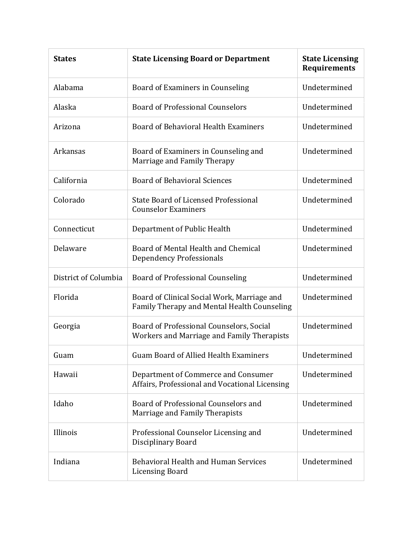| <b>States</b>        | <b>State Licensing Board or Department</b>                                                 | <b>State Licensing</b><br><b>Requirements</b> |
|----------------------|--------------------------------------------------------------------------------------------|-----------------------------------------------|
| Alabama              | Board of Examiners in Counseling                                                           | Undetermined                                  |
| Alaska               | <b>Board of Professional Counselors</b>                                                    | Undetermined                                  |
| Arizona              | Board of Behavioral Health Examiners                                                       | Undetermined                                  |
| Arkansas             | Board of Examiners in Counseling and<br>Marriage and Family Therapy                        | Undetermined                                  |
| California           | <b>Board of Behavioral Sciences</b>                                                        | Undetermined                                  |
| Colorado             | State Board of Licensed Professional<br><b>Counselor Examiners</b>                         | Undetermined                                  |
| Connecticut          | Department of Public Health                                                                | Undetermined                                  |
| Delaware             | Board of Mental Health and Chemical<br><b>Dependency Professionals</b>                     | Undetermined                                  |
| District of Columbia | <b>Board of Professional Counseling</b>                                                    | Undetermined                                  |
| Florida              | Board of Clinical Social Work, Marriage and<br>Family Therapy and Mental Health Counseling | Undetermined                                  |
| Georgia              | Board of Professional Counselors, Social<br>Workers and Marriage and Family Therapists     | Undetermined                                  |
| Guam                 | <b>Guam Board of Allied Health Examiners</b>                                               | Undetermined                                  |
| Hawaii               | Department of Commerce and Consumer<br>Affairs, Professional and Vocational Licensing      | Undetermined                                  |
| Idaho                | Board of Professional Counselors and<br>Marriage and Family Therapists                     | Undetermined                                  |
| Illinois             | Professional Counselor Licensing and<br>Disciplinary Board                                 | Undetermined                                  |
| Indiana              | Behavioral Health and Human Services<br><b>Licensing Board</b>                             | Undetermined                                  |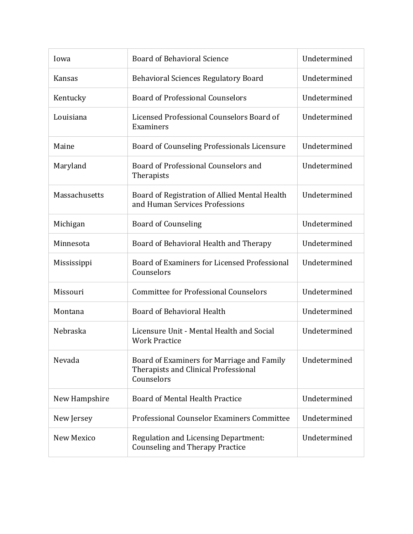| Iowa          | <b>Board of Behavioral Science</b>                                                               | Undetermined |
|---------------|--------------------------------------------------------------------------------------------------|--------------|
| <b>Kansas</b> | <b>Behavioral Sciences Regulatory Board</b>                                                      | Undetermined |
| Kentucky      | <b>Board of Professional Counselors</b>                                                          | Undetermined |
| Louisiana     | Licensed Professional Counselors Board of<br>Examiners                                           | Undetermined |
| Maine         | Board of Counseling Professionals Licensure                                                      | Undetermined |
| Maryland      | Board of Professional Counselors and<br>Therapists                                               | Undetermined |
| Massachusetts | Board of Registration of Allied Mental Health<br>and Human Services Professions                  | Undetermined |
| Michigan      | <b>Board of Counseling</b>                                                                       | Undetermined |
| Minnesota     | Board of Behavioral Health and Therapy                                                           | Undetermined |
| Mississippi   | Board of Examiners for Licensed Professional<br>Counselors                                       | Undetermined |
| Missouri      | <b>Committee for Professional Counselors</b>                                                     | Undetermined |
| Montana       | <b>Board of Behavioral Health</b>                                                                | Undetermined |
| Nebraska      | Licensure Unit - Mental Health and Social<br><b>Work Practice</b>                                | Undetermined |
| Nevada        | Board of Examiners for Marriage and Family<br>Therapists and Clinical Professional<br>Counselors | Undetermined |
| New Hampshire | Board of Mental Health Practice                                                                  | Undetermined |
| New Jersey    | Professional Counselor Examiners Committee                                                       | Undetermined |
| New Mexico    | <b>Regulation and Licensing Department:</b><br><b>Counseling and Therapy Practice</b>            | Undetermined |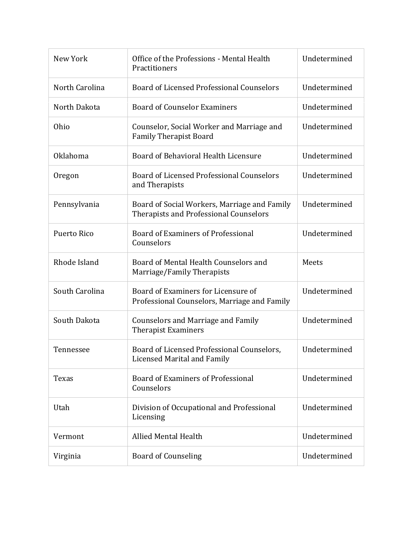| New York       | Office of the Professions - Mental Health<br>Practitioners                             | Undetermined |
|----------------|----------------------------------------------------------------------------------------|--------------|
| North Carolina | Board of Licensed Professional Counselors                                              | Undetermined |
| North Dakota   | <b>Board of Counselor Examiners</b>                                                    | Undetermined |
| Ohio           | Counselor, Social Worker and Marriage and<br><b>Family Therapist Board</b>             | Undetermined |
| Oklahoma       | Board of Behavioral Health Licensure                                                   | Undetermined |
| Oregon         | Board of Licensed Professional Counselors<br>and Therapists                            | Undetermined |
| Pennsylvania   | Board of Social Workers, Marriage and Family<br>Therapists and Professional Counselors | Undetermined |
| Puerto Rico    | Board of Examiners of Professional<br>Counselors                                       | Undetermined |
| Rhode Island   | Board of Mental Health Counselors and<br>Marriage/Family Therapists                    | Meets        |
| South Carolina | Board of Examiners for Licensure of<br>Professional Counselors, Marriage and Family    | Undetermined |
| South Dakota   | <b>Counselors and Marriage and Family</b><br><b>Therapist Examiners</b>                | Undetermined |
| Tennessee      | Board of Licensed Professional Counselors.<br>Licensed Marital and Family              | Undetermined |
| Texas          | Board of Examiners of Professional<br>Counselors                                       | Undetermined |
| Utah           | Division of Occupational and Professional<br>Licensing                                 | Undetermined |
| Vermont        | <b>Allied Mental Health</b>                                                            | Undetermined |
| Virginia       | <b>Board of Counseling</b>                                                             | Undetermined |